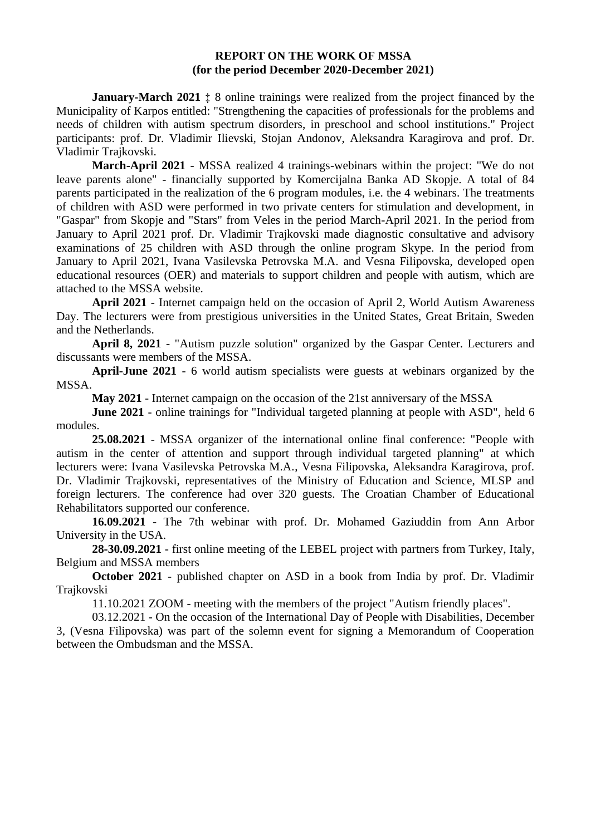## **REPORT ON THE WORK OF MSSA (for the period December 2020-December 2021)**

**January-March 2021**  $\pm$  8 online trainings were realized from the project financed by the Municipality of Karpos entitled: "Strengthening the capacities of professionals for the problems and needs of children with autism spectrum disorders, in preschool and school institutions." Project participants: prof. Dr. Vladimir Ilievski, Stojan Andonov, Aleksandra Karagirova and prof. Dr. Vladimir Trajkovski.

**March-April 2021** - MSSA realized 4 trainings-webinars within the project: "We do not leave parents alone" - financially supported by Komercijalna Banka AD Skopje. A total of 84 parents participated in the realization of the 6 program modules, i.e. the 4 webinars. The treatments of children with ASD were performed in two private centers for stimulation and development, in "Gaspar" from Skopje and "Stars" from Veles in the period March-April 2021. In the period from January to April 2021 prof. Dr. Vladimir Trajkovski made diagnostic consultative and advisory examinations of 25 children with ASD through the online program Skype. In the period from January to April 2021, Ivana Vasilevska Petrovska M.A. and Vesna Filipovska, developed open educational resources (OER) and materials to support children and people with autism, which are attached to the MSSA website.

**April 2021** - Internet campaign held on the occasion of April 2, World Autism Awareness Day. The lecturers were from prestigious universities in the United States, Great Britain, Sweden and the Netherlands.

**April 8, 2021** - "Autism puzzle solution" organized by the Gaspar Center. Lecturers and discussants were members of the MSSA.

**April-June 2021** - 6 world autism specialists were guests at webinars organized by the MSSA.

**May 2021** - Internet campaign on the occasion of the 21st anniversary of the MSSA

**June 2021** - online trainings for "Individual targeted planning at people with ASD", held 6 modules.

**25.08.2021** - MSSA organizer of the international online final conference: "People with autism in the center of attention and support through individual targeted planning" at which lecturers were: Ivana Vasilevska Petrovska M.A., Vesna Filipovska, Aleksandra Karagirova, prof. Dr. Vladimir Trajkovski, representatives of the Ministry of Education and Science, MLSP and foreign lecturers. The conference had over 320 guests. The Croatian Chamber of Educational Rehabilitators supported our conference.

**16.09.2021** - The 7th webinar with prof. Dr. Mohamed Gaziuddin from Ann Arbor University in the USA.

**28-30.09.2021** - first online meeting of the LEBEL project with partners from Turkey, Italy, Belgium and MSSA members

**October 2021** - published chapter on ASD in a book from India by prof. Dr. Vladimir Trajkovski

11.10.2021 ZOOM - meeting with the members of the project "Autism friendly places".

03.12.2021 - On the occasion of the International Day of People with Disabilities, December 3, (Vesna Filipovska) was part of the solemn event for signing a Memorandum of Cooperation between the Ombudsman and the MSSA.